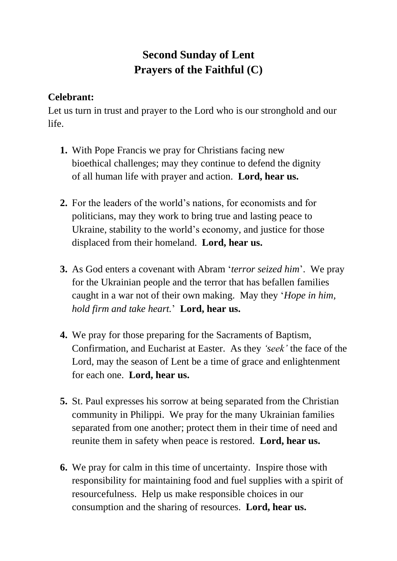## **Second Sunday of Lent Prayers of the Faithful (C)**

## **Celebrant:**

Let us turn in trust and prayer to the Lord who is our stronghold and our life.

- **1.** With Pope Francis we pray for Christians facing new bioethical challenges; may they continue to defend the dignity of all human life with prayer and action. **Lord, hear us.**
- **2.** For the leaders of the world's nations, for economists and for politicians, may they work to bring true and lasting peace to Ukraine, stability to the world's economy, and justice for those displaced from their homeland. **Lord, hear us.**
- **3.** As God enters a covenant with Abram '*terror seized him*'. We pray for the Ukrainian people and the terror that has befallen families caught in a war not of their own making. May they '*Hope in him, hold firm and take heart.*' **Lord, hear us.**
- **4.** We pray for those preparing for the Sacraments of Baptism, Confirmation, and Eucharist at Easter. As they *'seek'* the face of the Lord, may the season of Lent be a time of grace and enlightenment for each one. **Lord, hear us.**
- **5.** St. Paul expresses his sorrow at being separated from the Christian community in Philippi. We pray for the many Ukrainian families separated from one another; protect them in their time of need and reunite them in safety when peace is restored. **Lord, hear us.**
- **6.** We pray for calm in this time of uncertainty. Inspire those with responsibility for maintaining food and fuel supplies with a spirit of resourcefulness. Help us make responsible choices in our consumption and the sharing of resources. **Lord, hear us.**